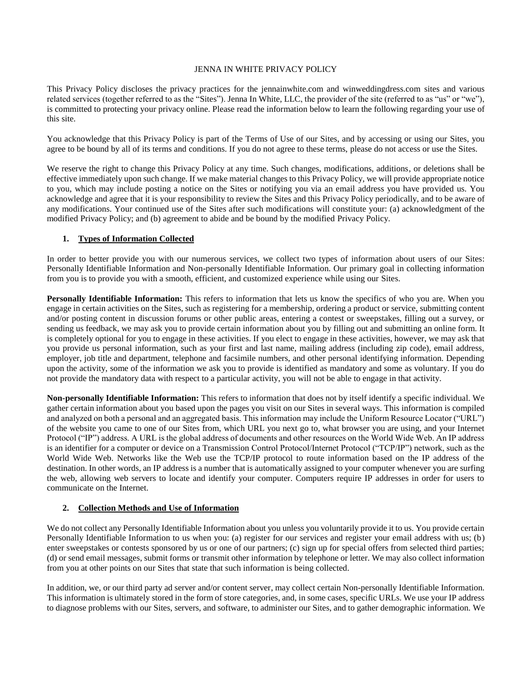#### JENNA IN WHITE PRIVACY POLICY

This Privacy Policy discloses the privacy practices for the jennainwhite.com and winweddingdress.com sites and various related services (together referred to as the "Sites"). Jenna In White, LLC, the provider of the site (referred to as "us" or "we"), is committed to protecting your privacy online. Please read the information below to learn the following regarding your use of this site.

You acknowledge that this Privacy Policy is part of the Terms of Use of our Sites, and by accessing or using our Sites, you agree to be bound by all of its terms and conditions. If you do not agree to these terms, please do not access or use the Sites.

We reserve the right to change this Privacy Policy at any time. Such changes, modifications, additions, or deletions shall be effective immediately upon such change. If we make material changes to this Privacy Policy, we will provide appropriate notice to you, which may include posting a notice on the Sites or notifying you via an email address you have provided us. You acknowledge and agree that it is your responsibility to review the Sites and this Privacy Policy periodically, and to be aware of any modifications. Your continued use of the Sites after such modifications will constitute your: (a) acknowledgment of the modified Privacy Policy; and (b) agreement to abide and be bound by the modified Privacy Policy.

## **1. Types of Information Collected**

In order to better provide you with our numerous services, we collect two types of information about users of our Sites: Personally Identifiable Information and Non-personally Identifiable Information. Our primary goal in collecting information from you is to provide you with a smooth, efficient, and customized experience while using our Sites.

**Personally Identifiable Information:** This refers to information that lets us know the specifics of who you are. When you engage in certain activities on the Sites, such as registering for a membership, ordering a product or service, submitting content and/or posting content in discussion forums or other public areas, entering a contest or sweepstakes, filling out a survey, or sending us feedback, we may ask you to provide certain information about you by filling out and submitting an online form. It is completely optional for you to engage in these activities. If you elect to engage in these activities, however, we may ask that you provide us personal information, such as your first and last name, mailing address (including zip code), email address, employer, job title and department, telephone and facsimile numbers, and other personal identifying information. Depending upon the activity, some of the information we ask you to provide is identified as mandatory and some as voluntary. If you do not provide the mandatory data with respect to a particular activity, you will not be able to engage in that activity.

**Non-personally Identifiable Information:** This refers to information that does not by itself identify a specific individual. We gather certain information about you based upon the pages you visit on our Sites in several ways. This information is compiled and analyzed on both a personal and an aggregated basis. This information may include the Uniform Resource Locator ("URL") of the website you came to one of our Sites from, which URL you next go to, what browser you are using, and your Internet Protocol ("IP") address. A URL is the global address of documents and other resources on the World Wide Web. An IP address is an identifier for a computer or device on a Transmission Control Protocol/Internet Protocol ("TCP/IP") network, such as the World Wide Web. Networks like the Web use the TCP/IP protocol to route information based on the IP address of the destination. In other words, an IP address is a number that is automatically assigned to your computer whenever you are surfing the web, allowing web servers to locate and identify your computer. Computers require IP addresses in order for users to communicate on the Internet.

## **2. Collection Methods and Use of Information**

We do not collect any Personally Identifiable Information about you unless you voluntarily provide it to us. You provide certain Personally Identifiable Information to us when you: (a) register for our services and register your email address with us; (b) enter sweepstakes or contests sponsored by us or one of our partners; (c) sign up for special offers from selected third parties; (d) or send email messages, submit forms or transmit other information by telephone or letter. We may also collect information from you at other points on our Sites that state that such information is being collected.

In addition, we, or our third party ad server and/or content server, may collect certain Non-personally Identifiable Information. This information is ultimately stored in the form of store categories, and, in some cases, specific URLs. We use your IP address to diagnose problems with our Sites, servers, and software, to administer our Sites, and to gather demographic information. We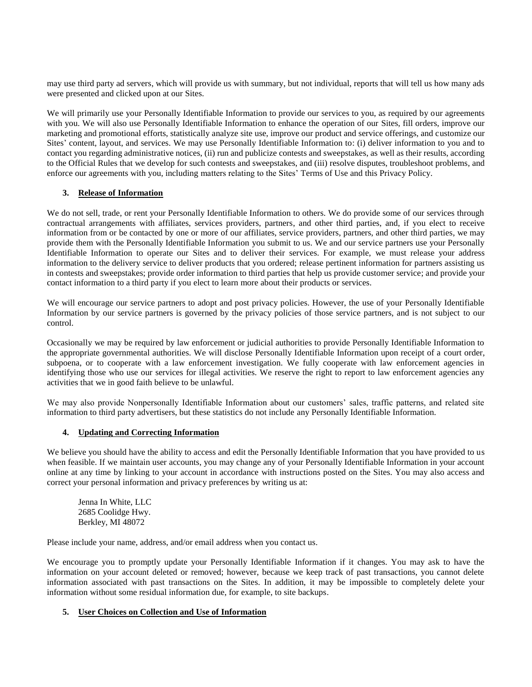may use third party ad servers, which will provide us with summary, but not individual, reports that will tell us how many ads were presented and clicked upon at our Sites.

We will primarily use your Personally Identifiable Information to provide our services to you, as required by our agreements with you. We will also use Personally Identifiable Information to enhance the operation of our Sites, fill orders, improve our marketing and promotional efforts, statistically analyze site use, improve our product and service offerings, and customize our Sites' content, layout, and services. We may use Personally Identifiable Information to: (i) deliver information to you and to contact you regarding administrative notices, (ii) run and publicize contests and sweepstakes, as well as their results, according to the Official Rules that we develop for such contests and sweepstakes, and (iii) resolve disputes, troubleshoot problems, and enforce our agreements with you, including matters relating to the Sites' Terms of Use and this Privacy Policy.

## **3. Release of Information**

We do not sell, trade, or rent your Personally Identifiable Information to others. We do provide some of our services through contractual arrangements with affiliates, services providers, partners, and other third parties, and, if you elect to receive information from or be contacted by one or more of our affiliates, service providers, partners, and other third parties, we may provide them with the Personally Identifiable Information you submit to us. We and our service partners use your Personally Identifiable Information to operate our Sites and to deliver their services. For example, we must release your address information to the delivery service to deliver products that you ordered; release pertinent information for partners assisting us in contests and sweepstakes; provide order information to third parties that help us provide customer service; and provide your contact information to a third party if you elect to learn more about their products or services.

We will encourage our service partners to adopt and post privacy policies. However, the use of your Personally Identifiable Information by our service partners is governed by the privacy policies of those service partners, and is not subject to our control.

Occasionally we may be required by law enforcement or judicial authorities to provide Personally Identifiable Information to the appropriate governmental authorities. We will disclose Personally Identifiable Information upon receipt of a court order, subpoena, or to cooperate with a law enforcement investigation. We fully cooperate with law enforcement agencies in identifying those who use our services for illegal activities. We reserve the right to report to law enforcement agencies any activities that we in good faith believe to be unlawful.

We may also provide Nonpersonally Identifiable Information about our customers' sales, traffic patterns, and related site information to third party advertisers, but these statistics do not include any Personally Identifiable Information.

## **4. Updating and Correcting Information**

We believe you should have the ability to access and edit the Personally Identifiable Information that you have provided to us when feasible. If we maintain user accounts, you may change any of your Personally Identifiable Information in your account online at any time by linking to your account in accordance with instructions posted on the Sites. You may also access and correct your personal information and privacy preferences by writing us at:

Jenna In White, LLC 2685 Coolidge Hwy. Berkley, MI 48072

Please include your name, address, and/or email address when you contact us.

We encourage you to promptly update your Personally Identifiable Information if it changes. You may ask to have the information on your account deleted or removed; however, because we keep track of past transactions, you cannot delete information associated with past transactions on the Sites. In addition, it may be impossible to completely delete your information without some residual information due, for example, to site backups.

## **5. User Choices on Collection and Use of Information**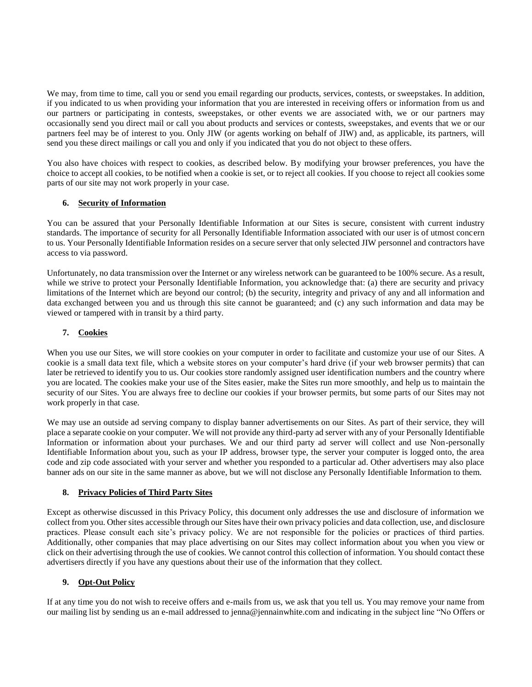We may, from time to time, call you or send you email regarding our products, services, contests, or sweepstakes. In addition, if you indicated to us when providing your information that you are interested in receiving offers or information from us and our partners or participating in contests, sweepstakes, or other events we are associated with, we or our partners may occasionally send you direct mail or call you about products and services or contests, sweepstakes, and events that we or our partners feel may be of interest to you. Only JIW (or agents working on behalf of JIW) and, as applicable, its partners, will send you these direct mailings or call you and only if you indicated that you do not object to these offers.

You also have choices with respect to cookies, as described below. By modifying your browser preferences, you have the choice to accept all cookies, to be notified when a cookie is set, or to reject all cookies. If you choose to reject all cookies some parts of our site may not work properly in your case.

## **6. Security of Information**

You can be assured that your Personally Identifiable Information at our Sites is secure, consistent with current industry standards. The importance of security for all Personally Identifiable Information associated with our user is of utmost concern to us. Your Personally Identifiable Information resides on a secure server that only selected JIW personnel and contractors have access to via password.

Unfortunately, no data transmission over the Internet or any wireless network can be guaranteed to be 100% secure. As a result, while we strive to protect your Personally Identifiable Information, you acknowledge that: (a) there are security and privacy limitations of the Internet which are beyond our control; (b) the security, integrity and privacy of any and all information and data exchanged between you and us through this site cannot be guaranteed; and (c) any such information and data may be viewed or tampered with in transit by a third party.

# **7. Cookies**

When you use our Sites, we will store cookies on your computer in order to facilitate and customize your use of our Sites. A cookie is a small data text file, which a website stores on your computer's hard drive (if your web browser permits) that can later be retrieved to identify you to us. Our cookies store randomly assigned user identification numbers and the country where you are located. The cookies make your use of the Sites easier, make the Sites run more smoothly, and help us to maintain the security of our Sites. You are always free to decline our cookies if your browser permits, but some parts of our Sites may not work properly in that case.

We may use an outside ad serving company to display banner advertisements on our Sites. As part of their service, they will place a separate cookie on your computer. We will not provide any third-party ad server with any of your Personally Identifiable Information or information about your purchases. We and our third party ad server will collect and use Non-personally Identifiable Information about you, such as your IP address, browser type, the server your computer is logged onto, the area code and zip code associated with your server and whether you responded to a particular ad. Other advertisers may also place banner ads on our site in the same manner as above, but we will not disclose any Personally Identifiable Information to them.

## **8. Privacy Policies of Third Party Sites**

Except as otherwise discussed in this Privacy Policy, this document only addresses the use and disclosure of information we collect from you. Other sites accessible through our Sites have their own privacy policies and data collection, use, and disclosure practices. Please consult each site's privacy policy. We are not responsible for the policies or practices of third parties. Additionally, other companies that may place advertising on our Sites may collect information about you when you view or click on their advertising through the use of cookies. We cannot control this collection of information. You should contact these advertisers directly if you have any questions about their use of the information that they collect.

## **9. Opt-Out Policy**

If at any time you do not wish to receive offers and e-mails from us, we ask that you tell us. You may remove your name from our mailing list by sending us an e-mail addressed to jenna@jennainwhite.com and indicating in the subject line "No Offers or